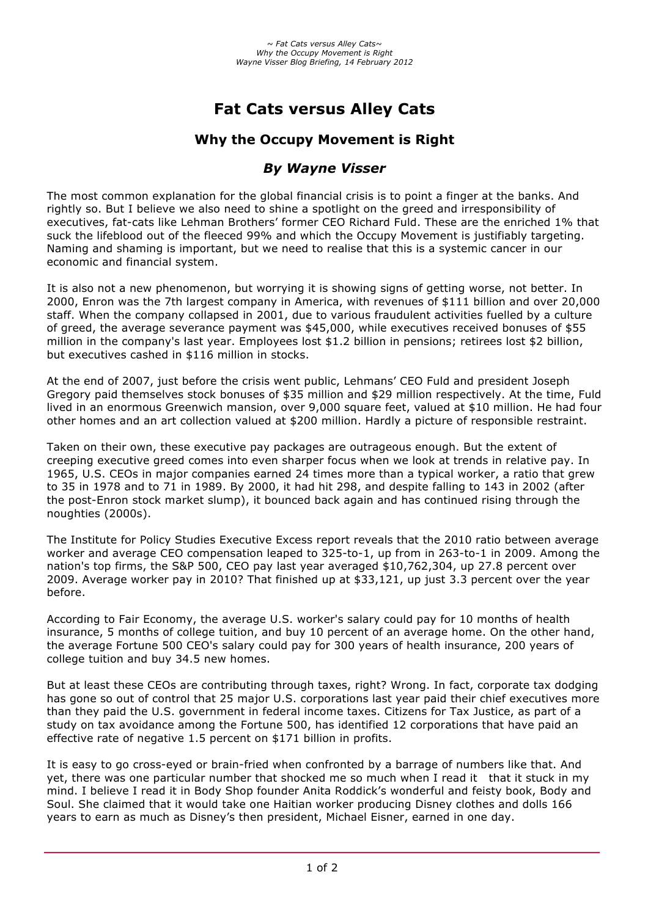# **Fat Cats versus Alley Cats**

## **Why the Occupy Movement is Right**

## *By Wayne Visser*

The most common explanation for the global financial crisis is to point a finger at the banks. And rightly so. But I believe we also need to shine a spotlight on the greed and irresponsibility of executives, fat-cats like Lehman Brothers' former CEO Richard Fuld. These are the enriched 1% that suck the lifeblood out of the fleeced 99% and which the Occupy Movement is justifiably targeting. Naming and shaming is important, but we need to realise that this is a systemic cancer in our economic and financial system.

It is also not a new phenomenon, but worrying it is showing signs of getting worse, not better. In 2000, Enron was the 7th largest company in America, with revenues of \$111 billion and over 20,000 staff. When the company collapsed in 2001, due to various fraudulent activities fuelled by a culture of greed, the average severance payment was \$45,000, while executives received bonuses of \$55 million in the company's last year. Employees lost \$1.2 billion in pensions; retirees lost \$2 billion, but executives cashed in \$116 million in stocks.

At the end of 2007, just before the crisis went public, Lehmans' CEO Fuld and president Joseph Gregory paid themselves stock bonuses of \$35 million and \$29 million respectively. At the time, Fuld lived in an enormous Greenwich mansion, over 9,000 square feet, valued at \$10 million. He had four other homes and an art collection valued at \$200 million. Hardly a picture of responsible restraint.

Taken on their own, these executive pay packages are outrageous enough. But the extent of creeping executive greed comes into even sharper focus when we look at trends in relative pay. In 1965, U.S. CEOs in major companies earned 24 times more than a typical worker, a ratio that grew to 35 in 1978 and to 71 in 1989. By 2000, it had hit 298, and despite falling to 143 in 2002 (after the post-Enron stock market slump), it bounced back again and has continued rising through the noughties (2000s).

The Institute for Policy Studies Executive Excess report reveals that the 2010 ratio between average worker and average CEO compensation leaped to 325-to-1, up from in 263-to-1 in 2009. Among the nation's top firms, the S&P 500, CEO pay last year averaged \$10,762,304, up 27.8 percent over 2009. Average worker pay in 2010? That finished up at \$33,121, up just 3.3 percent over the year before.

According to Fair Economy, the average U.S. worker's salary could pay for 10 months of health insurance, 5 months of college tuition, and buy 10 percent of an average home. On the other hand, the average Fortune 500 CEO's salary could pay for 300 years of health insurance, 200 years of college tuition and buy 34.5 new homes.

But at least these CEOs are contributing through taxes, right? Wrong. In fact, corporate tax dodging has gone so out of control that 25 major U.S. corporations last year paid their chief executives more than they paid the U.S. government in federal income taxes. Citizens for Tax Justice, as part of a study on tax avoidance among the Fortune 500, has identified 12 corporations that have paid an effective rate of negative 1.5 percent on \$171 billion in profits.

It is easy to go cross-eyed or brain-fried when confronted by a barrage of numbers like that. And yet, there was one particular number that shocked me so much when I read it that it stuck in my mind. I believe I read it in Body Shop founder Anita Roddick's wonderful and feisty book, Body and Soul. She claimed that it would take one Haitian worker producing Disney clothes and dolls 166 years to earn as much as Disney's then president, Michael Eisner, earned in one day.